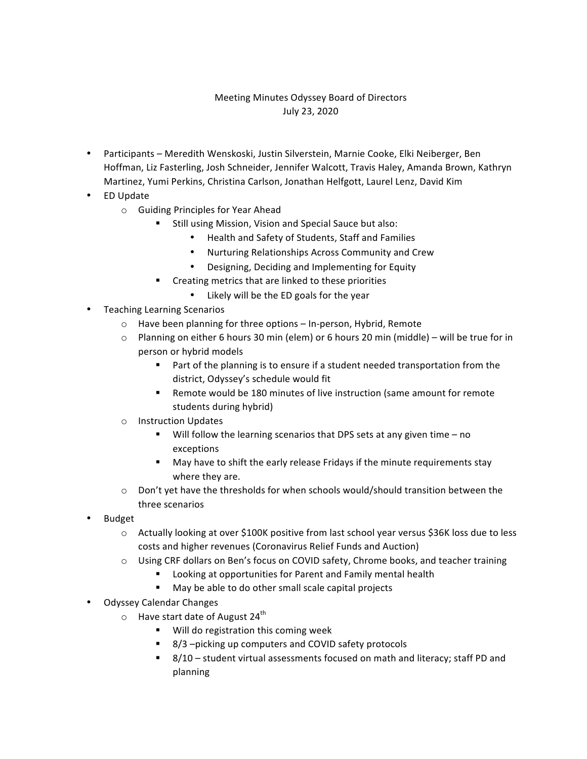## Meeting Minutes Odyssey Board of Directors July 23, 2020

- Participants Meredith Wenskoski, Justin Silverstein, Marnie Cooke, Elki Neiberger, Ben Hoffman, Liz Fasterling, Josh Schneider, Jennifer Walcott, Travis Haley, Amanda Brown, Kathryn Martinez, Yumi Perkins, Christina Carlson, Jonathan Helfgott, Laurel Lenz, David Kim
- ED Update
	- o Guiding Principles for Year Ahead
		- **E** Still using Mission, Vision and Special Sauce but also:
			- Health and Safety of Students, Staff and Families
			- Nurturing Relationships Across Community and Crew
			- Designing, Deciding and Implementing for Equity
		- " Creating metrics that are linked to these priorities
			- Likely will be the ED goals for the year
- Teaching Learning Scenarios
	- $\circ$  Have been planning for three options In-person, Hybrid, Remote
	- $\circ$  Planning on either 6 hours 30 min (elem) or 6 hours 20 min (middle) will be true for in person or hybrid models
		- " Part of the planning is to ensure if a student needed transportation from the district, Odyssey's schedule would fit
		- " Remote would be 180 minutes of live instruction (same amount for remote students during hybrid)
	- o Instruction Updates
		- $\blacksquare$  Will follow the learning scenarios that DPS sets at any given time  $-$  no exceptions
		- " May have to shift the early release Fridays if the minute requirements stay where they are.
	- $\circ$  Don't yet have the thresholds for when schools would/should transition between the three scenarios
- Budget
	- o Actually looking at over \$100K positive from last school year versus \$36K loss due to less costs and higher revenues (Coronavirus Relief Funds and Auction)
	- $\circ$  Using CRF dollars on Ben's focus on COVID safety, Chrome books, and teacher training
		- Looking at opportunities for Parent and Family mental health
		- " May be able to do other small scale capital projects
- Odyssey Calendar Changes
	- $\circ$  Have start date of August 24<sup>th</sup>
		- Will do registration this coming week
		- 8/3 –picking up computers and COVID safety protocols
		- $\blacksquare$  8/10 student virtual assessments focused on math and literacy; staff PD and planning